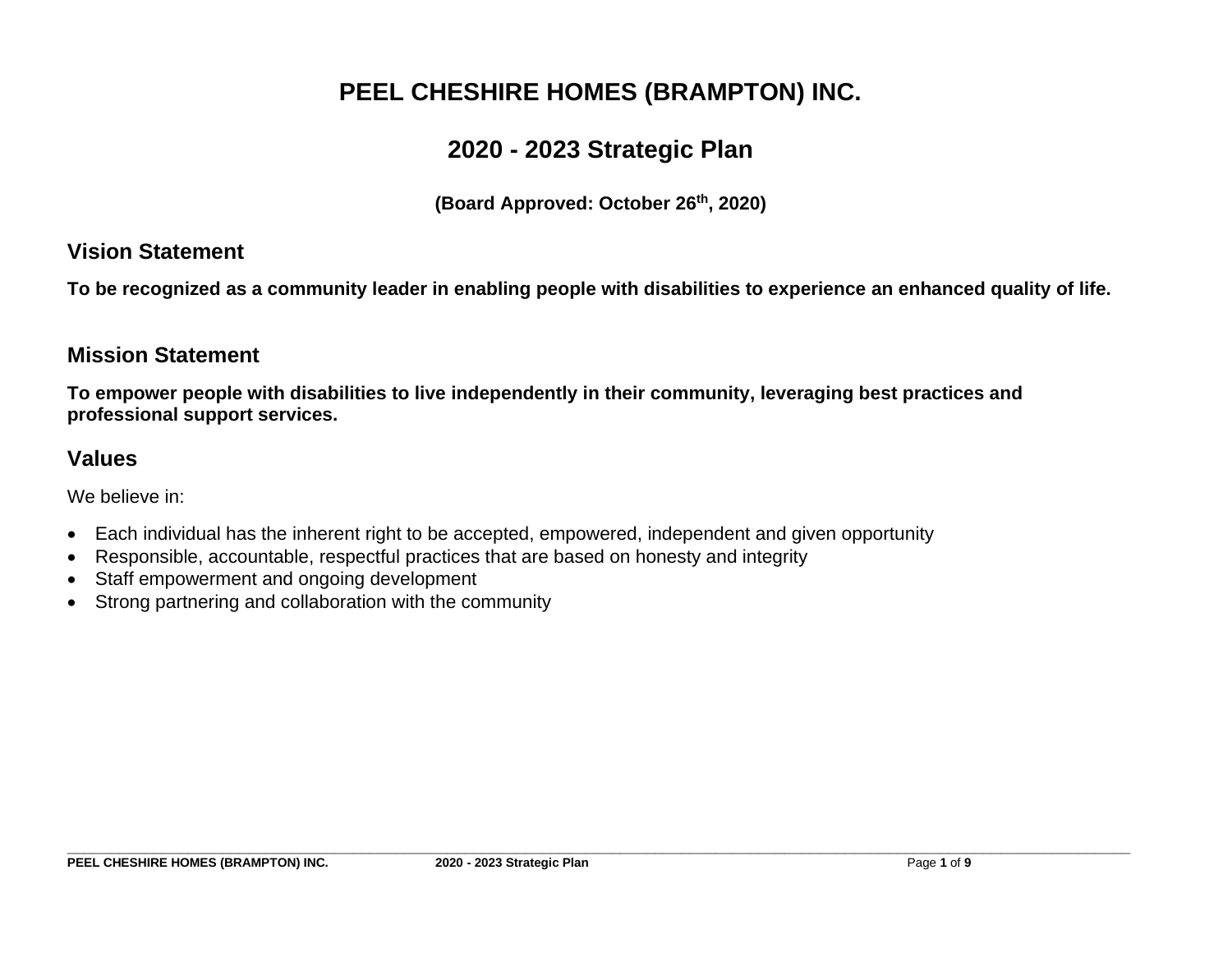# **PEEL CHESHIRE HOMES (BRAMPTON) INC.**

# **2020 - 2023 Strategic Plan**

**(Board Approved: October 26 th, 2020)**

### **Vision Statement**

**To be recognized as a community leader in enabling people with disabilities to experience an enhanced quality of life.** 

## **Mission Statement**

**To empower people with disabilities to live independently in their community, leveraging best practices and professional support services.** 

## **Values**

We believe in:

- Each individual has the inherent right to be accepted, empowered, independent and given opportunity
- Responsible, accountable, respectful practices that are based on honesty and integrity
- Staff empowerment and ongoing development
- Strong partnering and collaboration with the community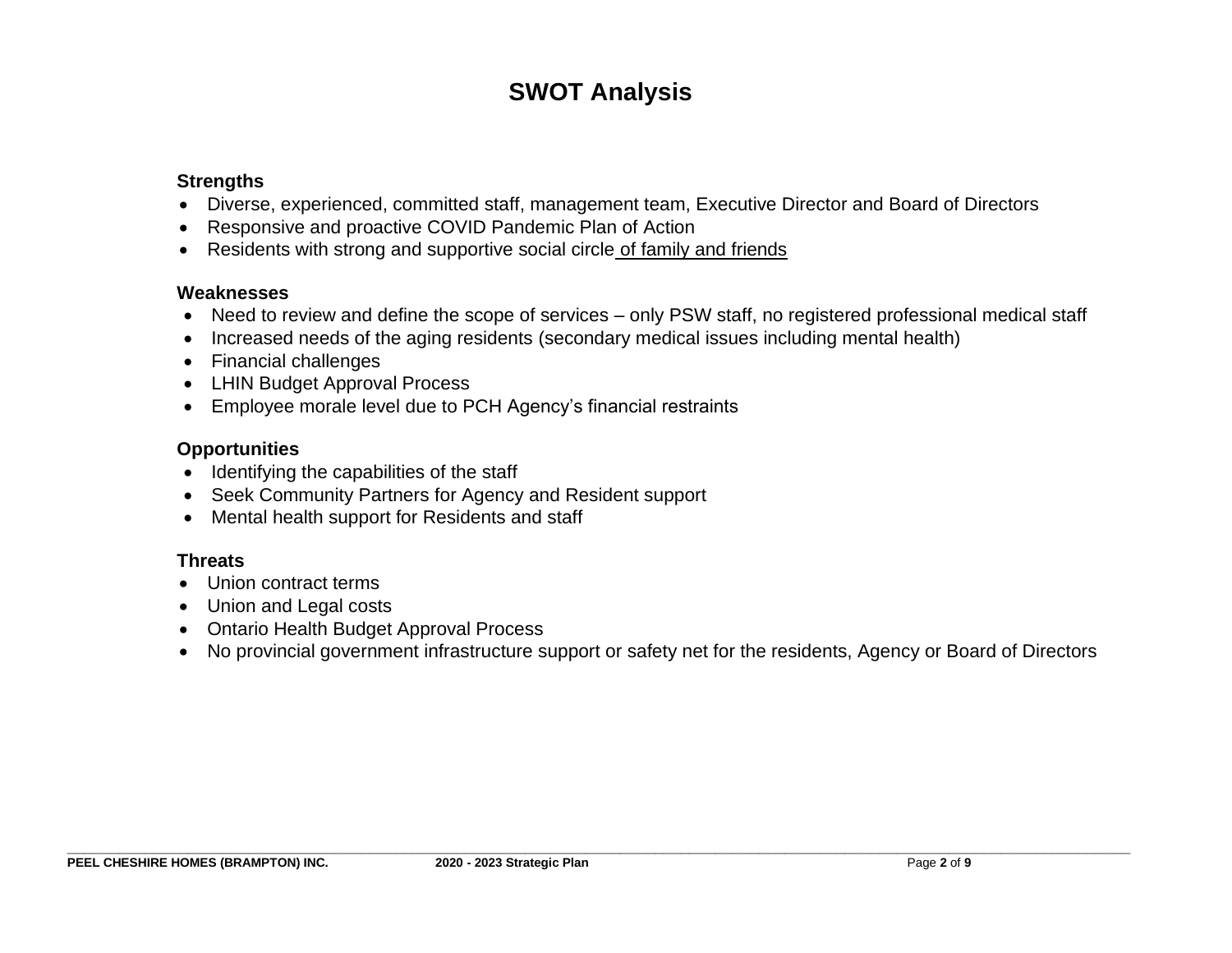# **SWOT Analysis**

#### **Strengths**

- Diverse, experienced, committed staff, management team, Executive Director and Board of Directors
- Responsive and proactive COVID Pandemic Plan of Action
- Residents with strong and supportive social circle of family and friends

#### **Weaknesses**

- Need to review and define the scope of services only PSW staff, no registered professional medical staff
- Increased needs of the aging residents (secondary medical issues including mental health)
- Financial challenges
- LHIN Budget Approval Process
- Employee morale level due to PCH Agency's financial restraints

#### **Opportunities**

- Identifying the capabilities of the staff
- Seek Community Partners for Agency and Resident support
- Mental health support for Residents and staff

#### **Threats**

- Union contract terms
- Union and Legal costs
- Ontario Health Budget Approval Process
- No provincial government infrastructure support or safety net for the residents, Agency or Board of Directors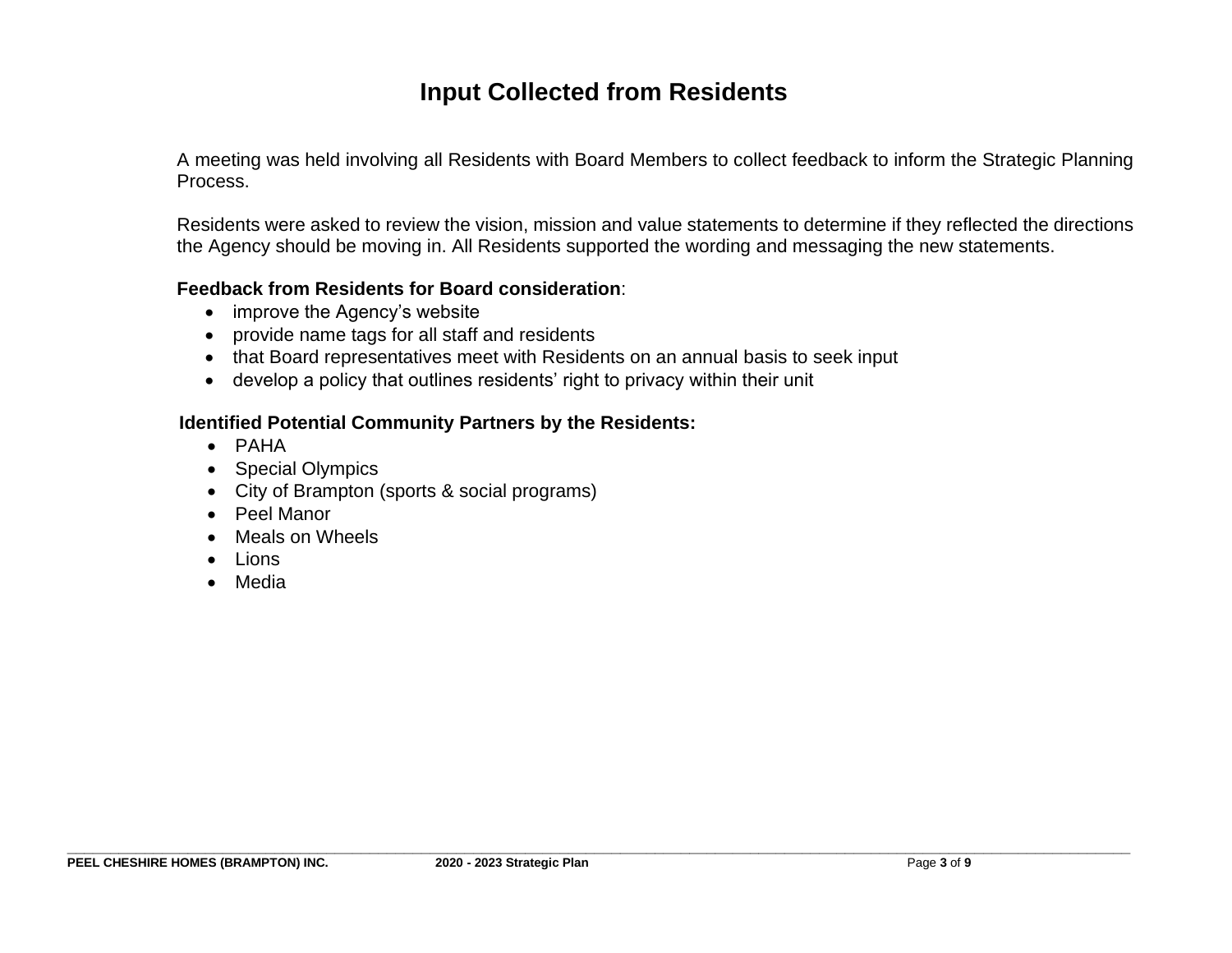## **Input Collected from Residents**

A meeting was held involving all Residents with Board Members to collect feedback to inform the Strategic Planning Process.

Residents were asked to review the vision, mission and value statements to determine if they reflected the directions the Agency should be moving in. All Residents supported the wording and messaging the new statements.

#### **Feedback from Residents for Board consideration**:

- improve the Agency's website
- provide name tags for all staff and residents
- that Board representatives meet with Residents on an annual basis to seek input
- develop a policy that outlines residents' right to privacy within their unit

#### **Identified Potential Community Partners by the Residents:**

- PAHA
- Special Olympics
- City of Brampton (sports & social programs)
- Peel Manor
- Meals on Wheels
- Lions
- Media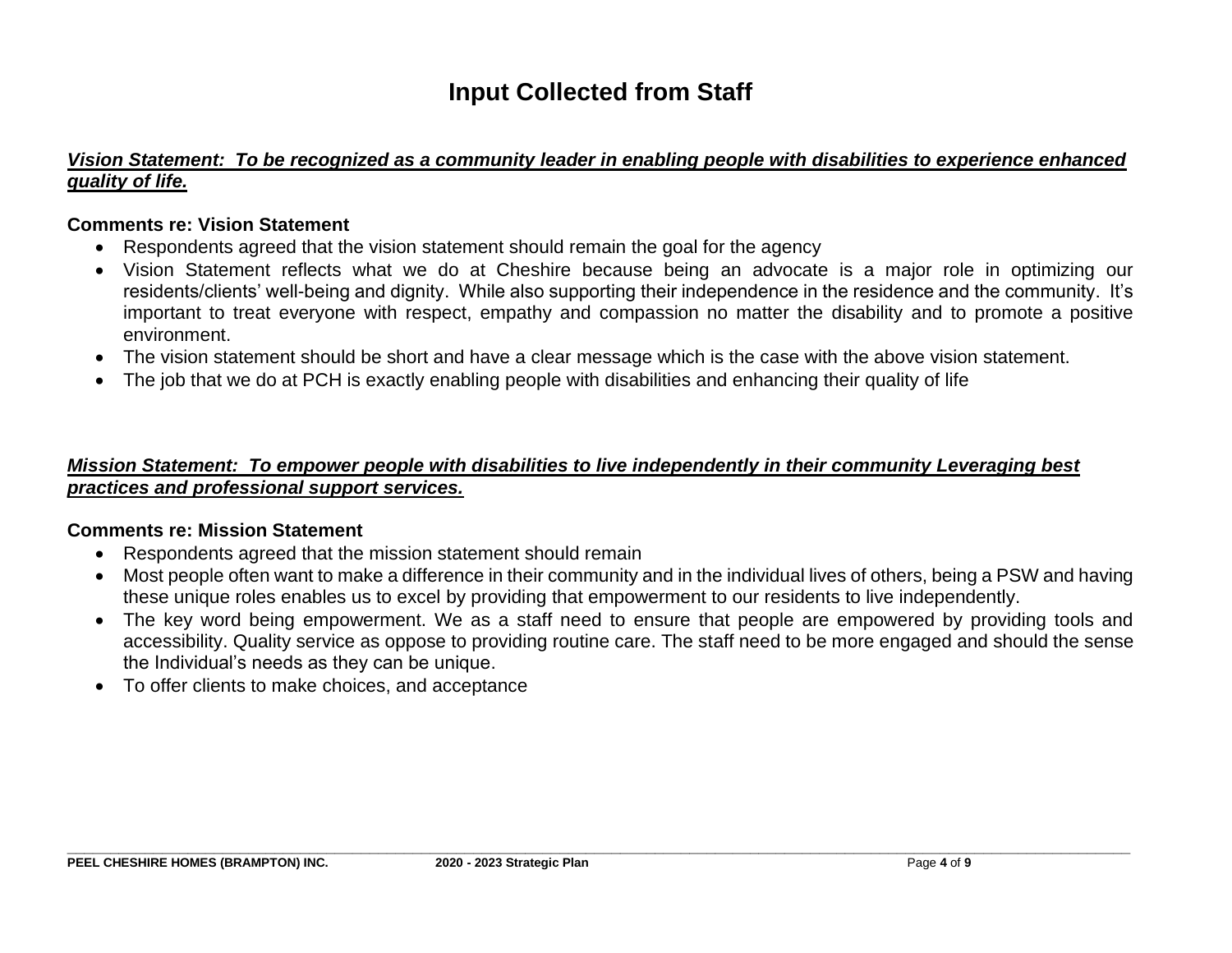# **Input Collected from Staff**

#### *Vision Statement: To be recognized as a community leader in enabling people with disabilities to experience enhanced quality of life.*

#### **Comments re: Vision Statement**

- Respondents agreed that the vision statement should remain the goal for the agency
- Vision Statement reflects what we do at Cheshire because being an advocate is a major role in optimizing our residents/clients' well-being and dignity. While also supporting their independence in the residence and the community. It's important to treat everyone with respect, empathy and compassion no matter the disability and to promote a positive environment.
- The vision statement should be short and have a clear message which is the case with the above vision statement.
- The job that we do at PCH is exactly enabling people with disabilities and enhancing their quality of life

#### *Mission Statement:**To empower people with disabilities to live independently in their community Leveraging best practices and professional support services.*

#### **Comments re: Mission Statement**

- Respondents agreed that the mission statement should remain
- Most people often want to make a difference in their community and in the individual lives of others, being a PSW and having these unique roles enables us to excel by providing that empowerment to our residents to live independently.
- The key word being empowerment. We as a staff need to ensure that people are empowered by providing tools and accessibility. Quality service as oppose to providing routine care. The staff need to be more engaged and should the sense the Individual's needs as they can be unique.
- To offer clients to make choices, and acceptance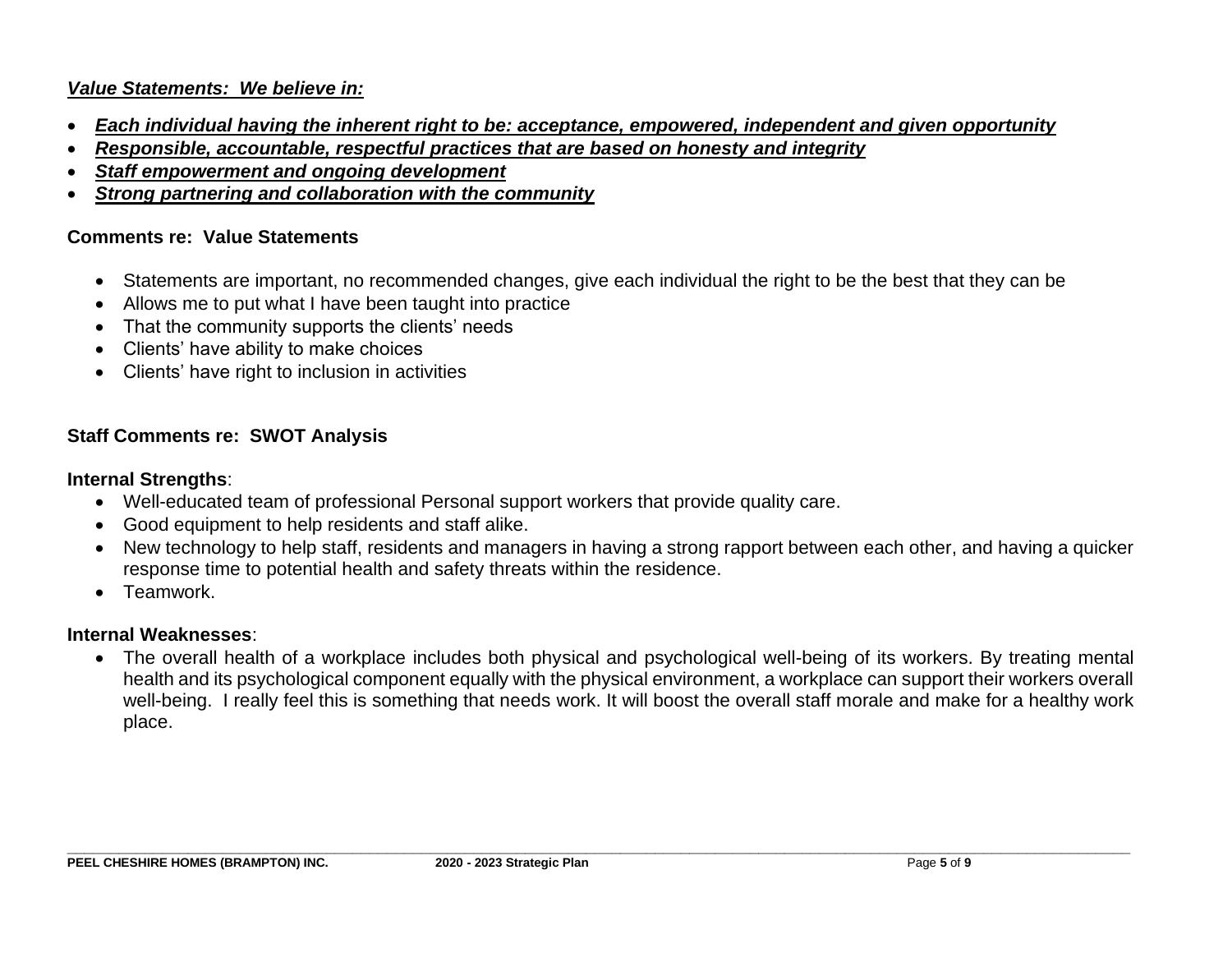#### *Value Statements: We believe in:*

- *Each individual having the inherent right to be: acceptance, empowered, independent and given opportunity*
- *Responsible, accountable, respectful practices that are based on honesty and integrity*
- *Staff empowerment and ongoing development*
- *Strong partnering and collaboration with the community*

#### **Comments re: Value Statements**

- Statements are important, no recommended changes, give each individual the right to be the best that they can be
- Allows me to put what I have been taught into practice
- That the community supports the clients' needs
- Clients' have ability to make choices
- Clients' have right to inclusion in activities

#### **Staff Comments re: SWOT Analysis**

#### **Internal Strengths**:

- Well-educated team of professional Personal support workers that provide quality care.
- Good equipment to help residents and staff alike.
- New technology to help staff, residents and managers in having a strong rapport between each other, and having a quicker response time to potential health and safety threats within the residence.
- Teamwork.

#### **Internal Weaknesses**:

• The overall health of a workplace includes both physical and psychological well-being of its workers. By treating mental health and its psychological component equally with the physical environment, a workplace can support their workers overall well-being. I really feel this is something that needs work. It will boost the overall staff morale and make for a healthy work place.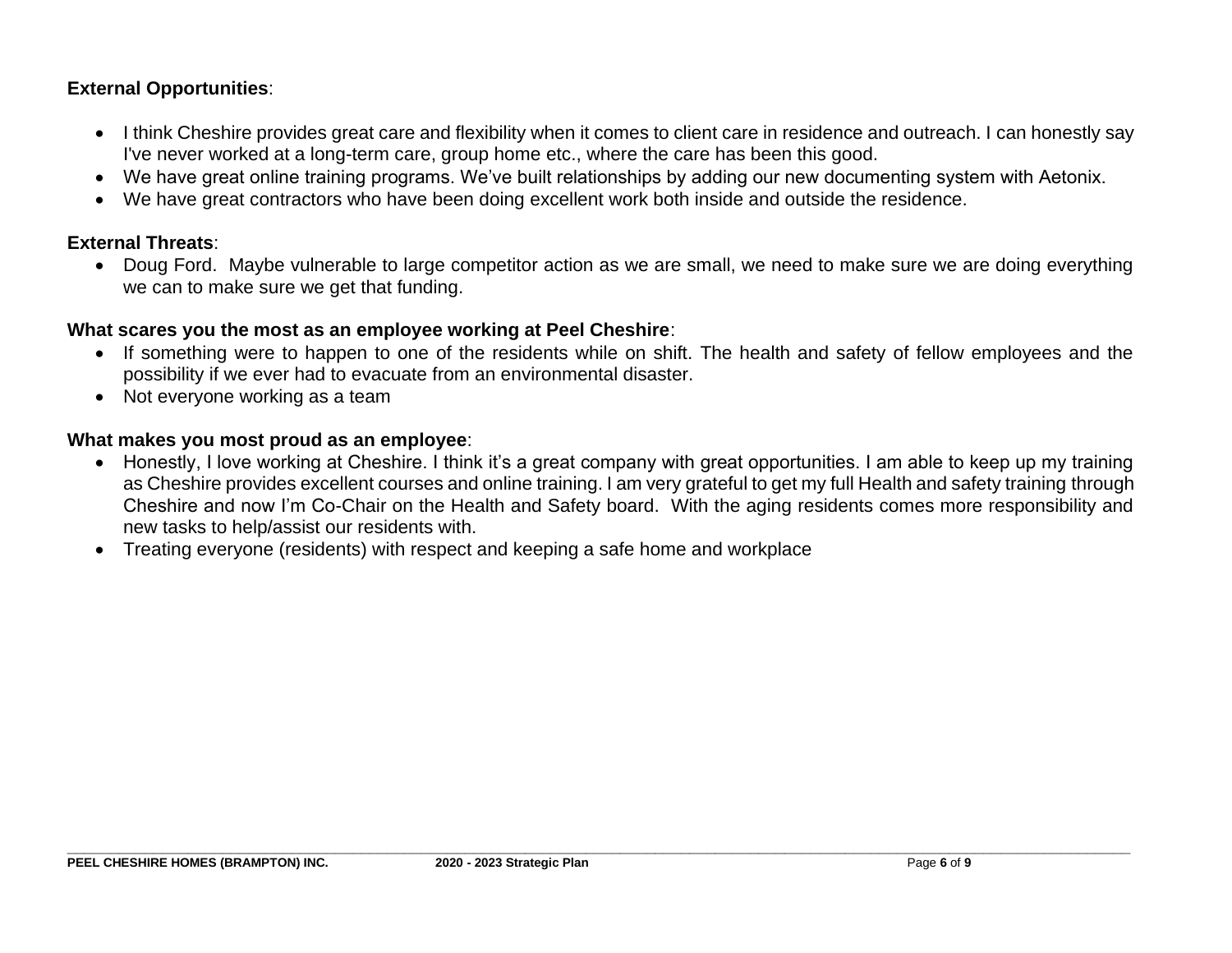#### **External Opportunities**:

- I think Cheshire provides great care and flexibility when it comes to client care in residence and outreach. I can honestly say I've never worked at a long-term care, group home etc., where the care has been this good.
- We have great online training programs. We've built relationships by adding our new documenting system with Aetonix.
- We have great contractors who have been doing excellent work both inside and outside the residence.

#### **External Threats**:

• Doug Ford. Maybe vulnerable to large competitor action as we are small, we need to make sure we are doing everything we can to make sure we get that funding.

#### **What scares you the most as an employee working at Peel Cheshire**:

- If something were to happen to one of the residents while on shift. The health and safety of fellow employees and the possibility if we ever had to evacuate from an environmental disaster.
- Not everyone working as a team

#### **What makes you most proud as an employee**:

- Honestly, I love working at Cheshire. I think it's a great company with great opportunities. I am able to keep up my training as Cheshire provides excellent courses and online training. I am very grateful to get my full Health and safety training through Cheshire and now I'm Co-Chair on the Health and Safety board. With the aging residents comes more responsibility and new tasks to help/assist our residents with.
- Treating everyone (residents) with respect and keeping a safe home and workplace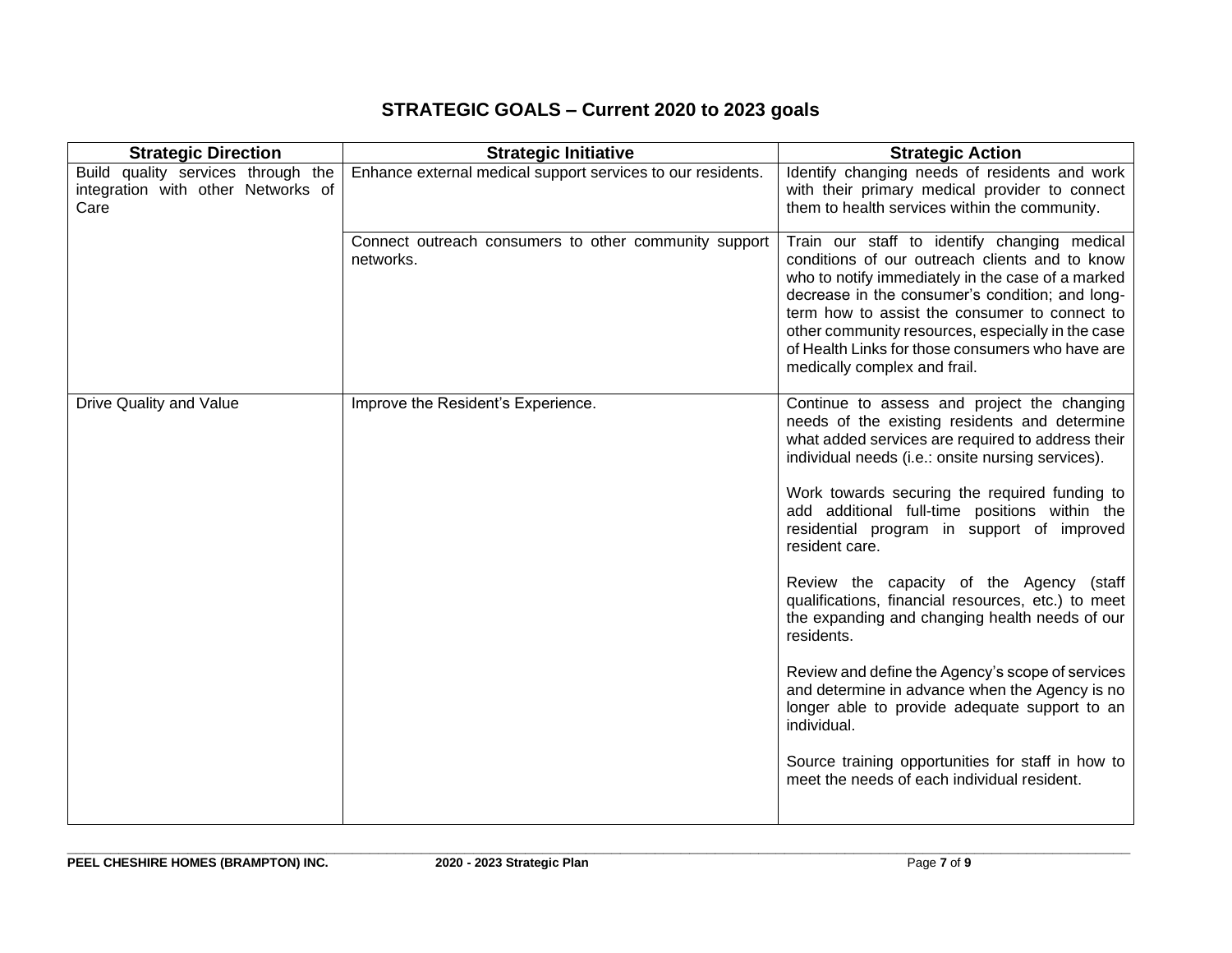## **STRATEGIC GOALS – Current 2020 to 2023 goals**

| <b>Strategic Direction</b>                                                       | <b>Strategic Initiative</b>                                        | <b>Strategic Action</b>                                                                                                                                                                                                                                                                                                                                                                          |
|----------------------------------------------------------------------------------|--------------------------------------------------------------------|--------------------------------------------------------------------------------------------------------------------------------------------------------------------------------------------------------------------------------------------------------------------------------------------------------------------------------------------------------------------------------------------------|
| Build quality services through the<br>integration with other Networks of<br>Care | Enhance external medical support services to our residents.        | Identify changing needs of residents and work<br>with their primary medical provider to connect<br>them to health services within the community.                                                                                                                                                                                                                                                 |
|                                                                                  | Connect outreach consumers to other community support<br>networks. | Train our staff to identify changing medical<br>conditions of our outreach clients and to know<br>who to notify immediately in the case of a marked<br>decrease in the consumer's condition; and long-<br>term how to assist the consumer to connect to<br>other community resources, especially in the case<br>of Health Links for those consumers who have are<br>medically complex and frail. |
| Drive Quality and Value                                                          | Improve the Resident's Experience.                                 | Continue to assess and project the changing<br>needs of the existing residents and determine<br>what added services are required to address their<br>individual needs (i.e.: onsite nursing services).                                                                                                                                                                                           |
|                                                                                  |                                                                    | Work towards securing the required funding to<br>add additional full-time positions within the<br>residential program in support of improved<br>resident care.                                                                                                                                                                                                                                   |
|                                                                                  |                                                                    | Review the capacity of the Agency (staff<br>qualifications, financial resources, etc.) to meet<br>the expanding and changing health needs of our<br>residents.                                                                                                                                                                                                                                   |
|                                                                                  |                                                                    | Review and define the Agency's scope of services<br>and determine in advance when the Agency is no<br>longer able to provide adequate support to an<br>individual.                                                                                                                                                                                                                               |
|                                                                                  |                                                                    | Source training opportunities for staff in how to<br>meet the needs of each individual resident.                                                                                                                                                                                                                                                                                                 |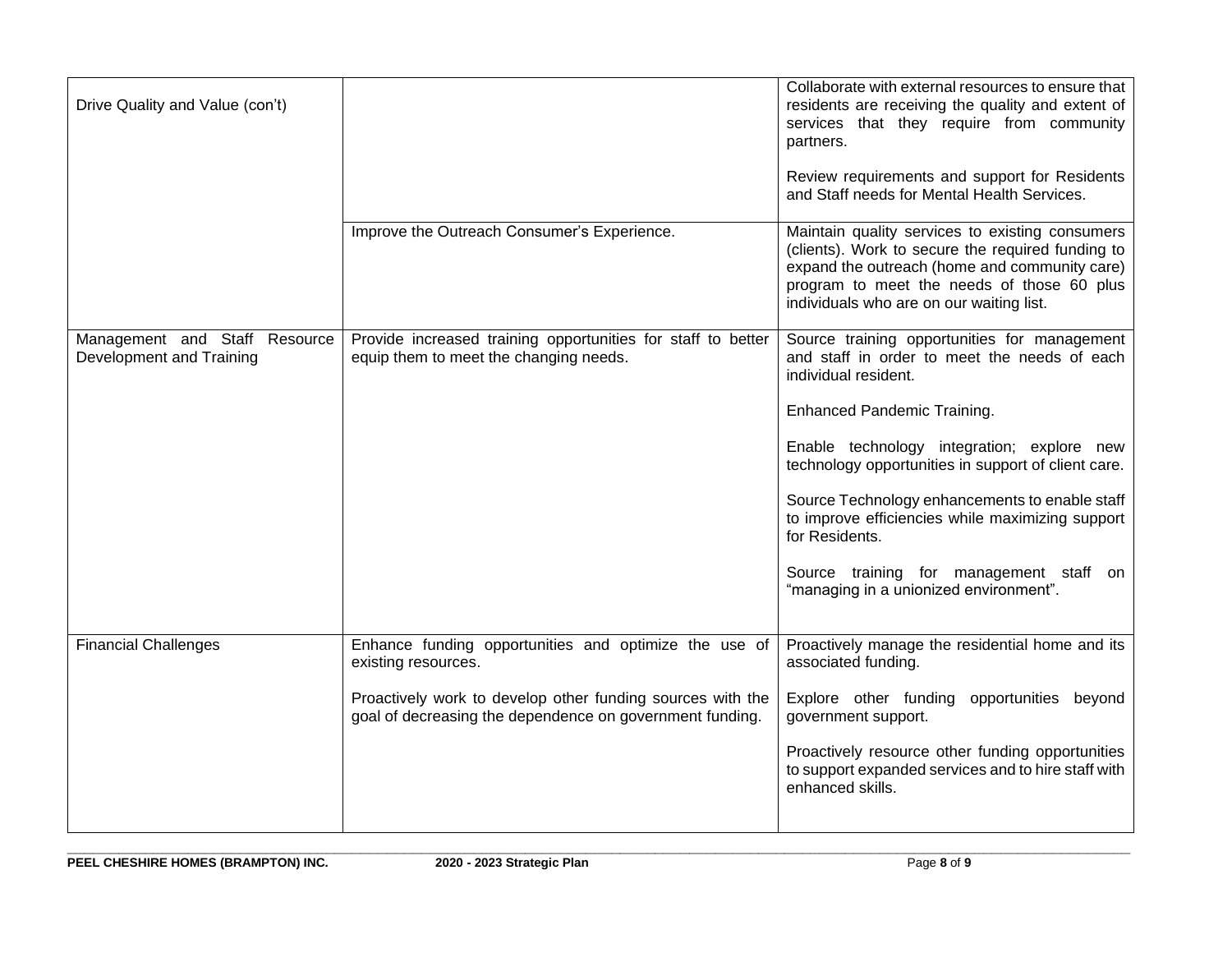| Drive Quality and Value (con't)                           |                                                                                                                        | Collaborate with external resources to ensure that<br>residents are receiving the quality and extent of<br>services that they require from community<br>partners.<br>Review requirements and support for Residents<br>and Staff needs for Mental Health Services. |
|-----------------------------------------------------------|------------------------------------------------------------------------------------------------------------------------|-------------------------------------------------------------------------------------------------------------------------------------------------------------------------------------------------------------------------------------------------------------------|
|                                                           | Improve the Outreach Consumer's Experience.                                                                            | Maintain quality services to existing consumers<br>(clients). Work to secure the required funding to<br>expand the outreach (home and community care)<br>program to meet the needs of those 60 plus<br>individuals who are on our waiting list.                   |
| Management and Staff Resource<br>Development and Training | Provide increased training opportunities for staff to better<br>equip them to meet the changing needs.                 | Source training opportunities for management<br>and staff in order to meet the needs of each<br>individual resident.                                                                                                                                              |
|                                                           |                                                                                                                        | Enhanced Pandemic Training.                                                                                                                                                                                                                                       |
|                                                           |                                                                                                                        | Enable technology integration; explore new<br>technology opportunities in support of client care.                                                                                                                                                                 |
|                                                           |                                                                                                                        | Source Technology enhancements to enable staff<br>to improve efficiencies while maximizing support<br>for Residents.                                                                                                                                              |
|                                                           |                                                                                                                        | Source training for management staff on<br>"managing in a unionized environment".                                                                                                                                                                                 |
| <b>Financial Challenges</b>                               | Enhance funding opportunities and optimize the use of                                                                  | Proactively manage the residential home and its                                                                                                                                                                                                                   |
|                                                           | existing resources.                                                                                                    | associated funding.                                                                                                                                                                                                                                               |
|                                                           | Proactively work to develop other funding sources with the<br>goal of decreasing the dependence on government funding. | Explore other funding opportunities beyond<br>government support.                                                                                                                                                                                                 |
|                                                           |                                                                                                                        | Proactively resource other funding opportunities<br>to support expanded services and to hire staff with<br>enhanced skills.                                                                                                                                       |
|                                                           |                                                                                                                        |                                                                                                                                                                                                                                                                   |